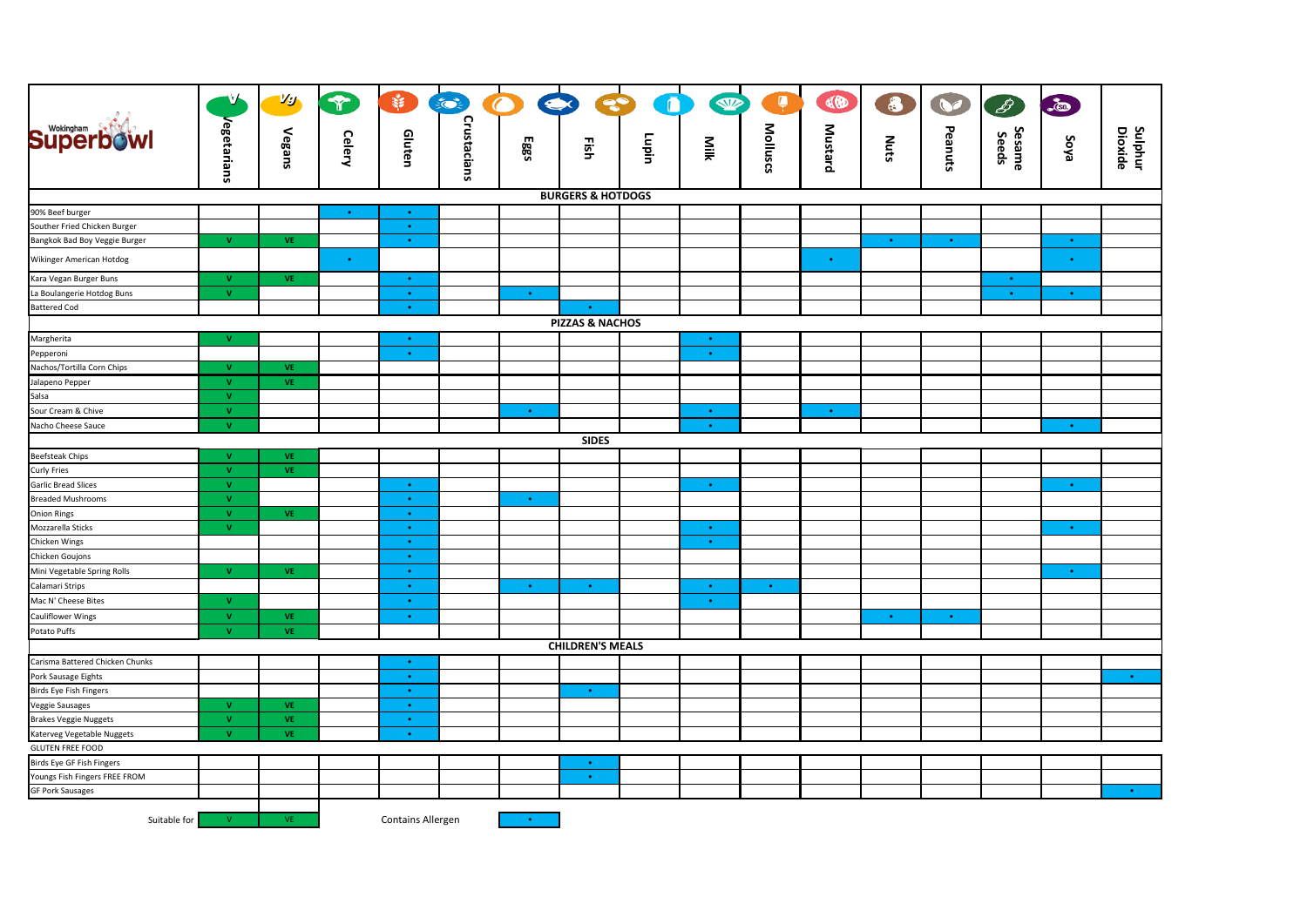|                                     | N,           | Vg                     | $\mathcal{T}$ |                          | $\leq$      | $\bigcap$<br>Q | S                       | $\blacksquare$ | W           | Ļ                              | CO             | 8         | $\bullet$ | $\mathscr{E}$   | -60         |                           |
|-------------------------------------|--------------|------------------------|---------------|--------------------------|-------------|----------------|-------------------------|----------------|-------------|--------------------------------|----------------|-----------|-----------|-----------------|-------------|---------------------------|
|                                     |              |                        |               |                          |             |                |                         |                |             |                                |                |           |           |                 |             |                           |
| <b>Superbowl</b>                    |              | Vegans                 | <b>Celery</b> | Gluten                   |             | Eggs           | Fish                    | Lupin          | Milk        |                                | <b>Mustard</b> | Nuts      | Peanuts   | Sesame<br>Seeds | evos        |                           |
|                                     | Vegetarians  |                        |               |                          | Crustacians |                |                         |                |             | <b>Molluscs</b>                |                |           |           |                 |             | <b>Sulphur</b><br>Dioxide |
| <b>BURGERS &amp; HOTDOGS</b>        |              |                        |               |                          |             |                |                         |                |             |                                |                |           |           |                 |             |                           |
| 90% Beef burger                     |              |                        | $\bullet$     | $\bullet$ .              |             |                |                         |                |             |                                |                |           |           |                 |             |                           |
| Souther Fried Chicken Burger        |              |                        |               | $\bullet$                |             |                |                         |                |             |                                |                |           |           |                 |             |                           |
| Bangkok Bad Boy Veggie Burger       | $\mathbf{V}$ | <b>VE</b>              |               | $\bullet$                |             |                |                         |                |             |                                |                | $\bullet$ | $\bullet$ |                 | $\bullet$   |                           |
| Wikinger American Hotdog            |              |                        | $\bullet$     |                          |             |                |                         |                |             |                                |                |           |           |                 |             |                           |
| Kara Vegan Burger Buns              | $\mathbf{V}$ | VE.                    |               | $\bullet$ .              |             |                |                         |                |             |                                |                |           |           | $\bullet$       |             |                           |
| La Boulangerie Hotdog Buns          | $\mathbf{V}$ |                        |               | $\bullet$ .              |             | $\bullet$      |                         |                |             |                                |                |           |           | $\bullet$       | $\bullet$   |                           |
| <b>Battered Cod</b>                 |              |                        |               | $\bullet$ .              |             |                | $\bullet$               |                |             |                                |                |           |           |                 |             |                           |
| <b>PIZZAS &amp; NACHOS</b>          |              |                        |               |                          |             |                |                         |                |             |                                |                |           |           |                 |             |                           |
| Margherita                          | $\mathbf{V}$ |                        |               | $\bullet$                |             |                |                         |                | $\bullet$   |                                |                |           |           |                 |             |                           |
| Pepperoni                           |              |                        |               | $\bullet$ .              |             |                |                         |                | $\bullet$   |                                |                |           |           |                 |             |                           |
| Nachos/Tortilla Corn Chips          | $\mathbf{V}$ | VE                     |               |                          |             |                |                         |                |             |                                |                |           |           |                 |             |                           |
| Jalapeno Pepper                     | $\mathbf{V}$ | <b>VE</b>              |               |                          |             |                |                         |                |             |                                |                |           |           |                 |             |                           |
| Salsa                               | $\mathbf{V}$ |                        |               |                          |             |                |                         |                |             |                                |                |           |           |                 |             |                           |
| Sour Cream & Chive                  | v            |                        |               |                          |             | $\bullet$      |                         |                | $\bullet$   |                                | $\bullet$      |           |           |                 |             |                           |
| Nacho Cheese Sauce                  | v            |                        |               |                          |             |                |                         |                | $\bullet$   |                                |                |           |           |                 | $\bullet$ . |                           |
|                                     |              |                        |               |                          |             |                | <b>SIDES</b>            |                |             |                                |                |           |           |                 |             |                           |
| <b>Beefsteak Chips</b>              | $\mathbf{V}$ | VE                     |               |                          |             |                |                         |                |             |                                |                |           |           |                 |             |                           |
| Curly Fries                         | v            | VE                     |               |                          |             |                |                         |                |             |                                |                |           |           |                 |             |                           |
| Garlic Bread Slices                 | v            |                        |               | $\bullet$ .              |             |                |                         |                | $\bullet$   |                                |                |           |           |                 | $\bullet$ . |                           |
| <b>Breaded Mushrooms</b>            | $\mathbf v$  |                        |               | $\bullet$                |             | $\bullet$      |                         |                |             |                                |                |           |           |                 |             |                           |
| <b>Onion Rings</b>                  | v.           | VE.                    |               | $\bullet$                |             |                |                         |                |             |                                |                |           |           |                 |             |                           |
| Mozzarella Sticks                   | $\mathbf{V}$ |                        |               | $\bullet$                |             |                |                         |                | $\bullet$   |                                |                |           |           |                 | $\bullet$   |                           |
| Chicken Wings                       |              |                        |               | $\bullet$ .              |             |                |                         |                | $\bullet$   |                                |                |           |           |                 |             |                           |
| Chicken Goujons                     | v.           |                        |               | $\bullet$                |             |                |                         |                |             |                                |                |           |           |                 |             |                           |
| Mini Vegetable Spring Rolls         |              | <b>VE</b>              |               | $\bullet$ .<br>$\bullet$ |             | $\bullet$      | $\bullet$               |                | $\bullet$ . |                                |                |           |           |                 | $\bullet$   |                           |
| Calamari Strips                     | $\mathbf{V}$ |                        |               |                          |             |                |                         |                |             | $\langle \cdot, \cdot \rangle$ |                |           |           |                 |             |                           |
| Mac N' Cheese Bites                 | $\mathbf{v}$ |                        |               | $\bullet$<br>$\bullet$   |             |                |                         |                | $\bullet$ . |                                |                | $\bullet$ |           |                 |             |                           |
| <b>Cauliflower Wings</b>            | v.           | <b>VE</b><br><b>VE</b> |               |                          |             |                |                         |                |             |                                |                |           | $\bullet$ |                 |             |                           |
| Potato Puffs                        |              |                        |               |                          |             |                | <b>CHILDREN'S MEALS</b> |                |             |                                |                |           |           |                 |             |                           |
| Carisma Battered Chicken Chunks     |              |                        |               | $\bullet$                |             |                |                         |                |             |                                |                |           |           |                 |             |                           |
| Pork Sausage Eights                 |              |                        |               | $\bullet$                |             |                |                         |                |             |                                |                |           |           |                 |             | $\bullet$                 |
| <b>Birds Eye Fish Fingers</b>       |              |                        |               | $\bullet$                |             |                | $\bullet$               |                |             |                                |                |           |           |                 |             |                           |
| <b>Veggie Sausages</b>              | $\mathbf{V}$ | <b>VE</b>              |               | $\bullet$                |             |                |                         |                |             |                                |                |           |           |                 |             |                           |
| <b>Brakes Veggie Nuggets</b>        | v.           | VE                     |               | $\bullet$                |             |                |                         |                |             |                                |                |           |           |                 |             |                           |
| Katerveg Vegetable Nuggets          | v            | VE                     |               | $\bullet$ .              |             |                |                         |                |             |                                |                |           |           |                 |             |                           |
| <b>GLUTEN FREE FOOD</b>             |              |                        |               |                          |             |                |                         |                |             |                                |                |           |           |                 |             |                           |
| Birds Eye GF Fish Fingers           |              |                        |               |                          |             |                | $\bullet$               |                |             |                                |                |           |           |                 |             |                           |
| Youngs Fish Fingers FREE FROM       |              |                        |               |                          |             |                | $\bullet$               |                |             |                                |                |           |           |                 |             |                           |
| <b>GF Pork Sausages</b>             |              |                        |               |                          |             |                |                         |                |             |                                |                |           |           |                 |             | $\bullet$                 |
|                                     |              |                        |               |                          |             |                |                         |                |             |                                |                |           |           |                 |             |                           |
| Suitable for<br>VE.<br>$\mathbf{v}$ |              |                        |               | <b>Contains Allergen</b> |             | $\bullet$      |                         |                |             |                                |                |           |           |                 |             |                           |